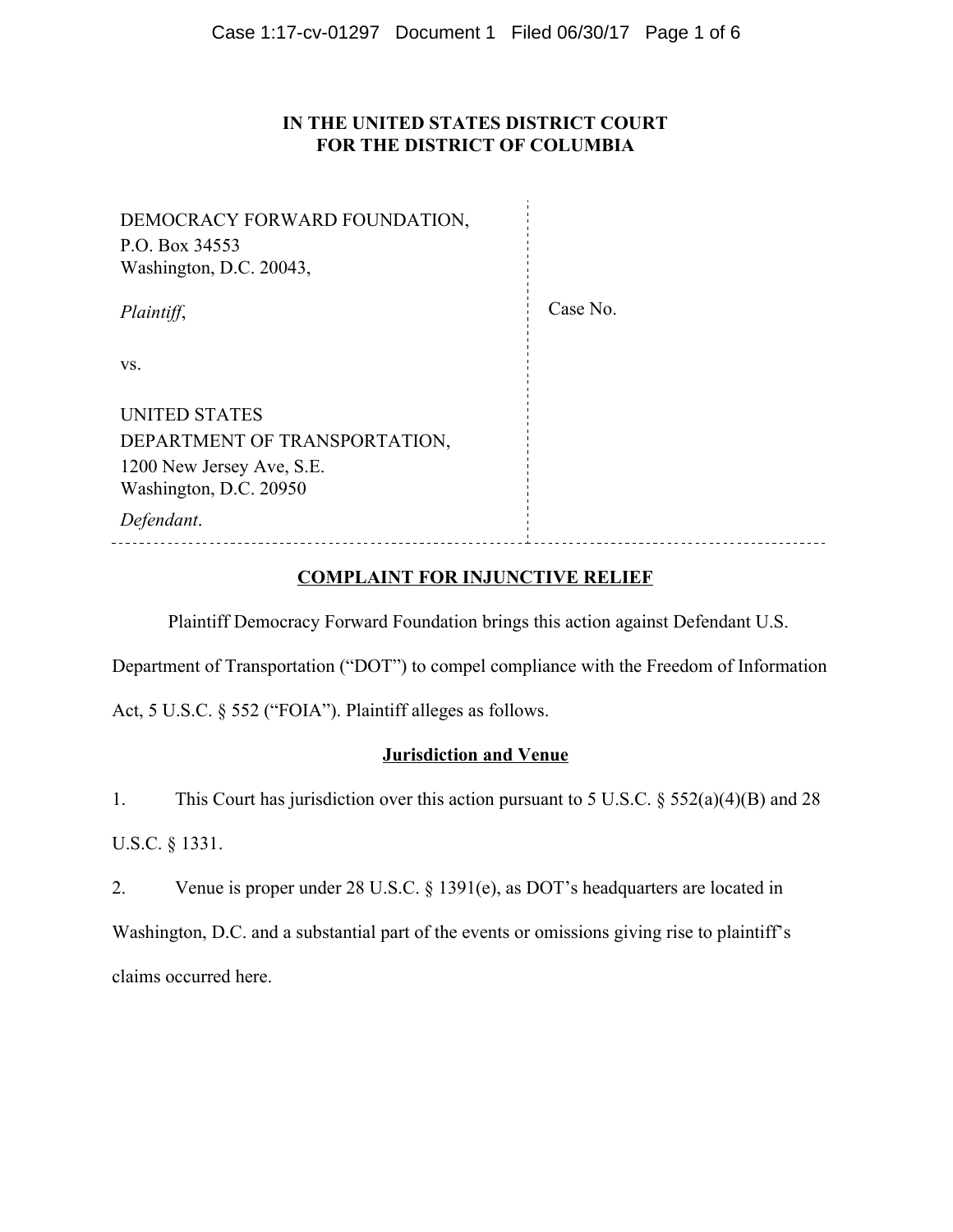# **IN THE UNITED STATES DISTRICT COURT FOR THE DISTRICT OF COLUMBIA**

| DEMOCRACY FORWARD FOUNDATION,<br>P.O. Box 34553<br>Washington, D.C. 20043, |          |
|----------------------------------------------------------------------------|----------|
| Plaintiff,                                                                 | Case No. |
| VS.                                                                        |          |
| <b>UNITED STATES</b>                                                       |          |
| DEPARTMENT OF TRANSPORTATION,                                              |          |
| 1200 New Jersey Ave, S.E.                                                  |          |
| Washington, D.C. 20950                                                     |          |
| Defendant.                                                                 |          |
|                                                                            |          |

# **COMPLAINT FOR INJUNCTIVE RELIEF**

Plaintiff Democracy Forward Foundation brings this action against Defendant U.S.

Department of Transportation ("DOT") to compel compliance with the Freedom of Information

Act, 5 U.S.C. § 552 ("FOIA"). Plaintiff alleges as follows.

# **Jurisdiction and Venue**

1. This Court has jurisdiction over this action pursuant to 5 U.S.C. § 552(a)(4)(B) and 28

U.S.C. § 1331.

2. Venue is proper under 28 U.S.C. § 1391(e), as DOT's headquarters are located in

Washington, D.C. and a substantial part of the events or omissions giving rise to plaintiff's claims occurred here.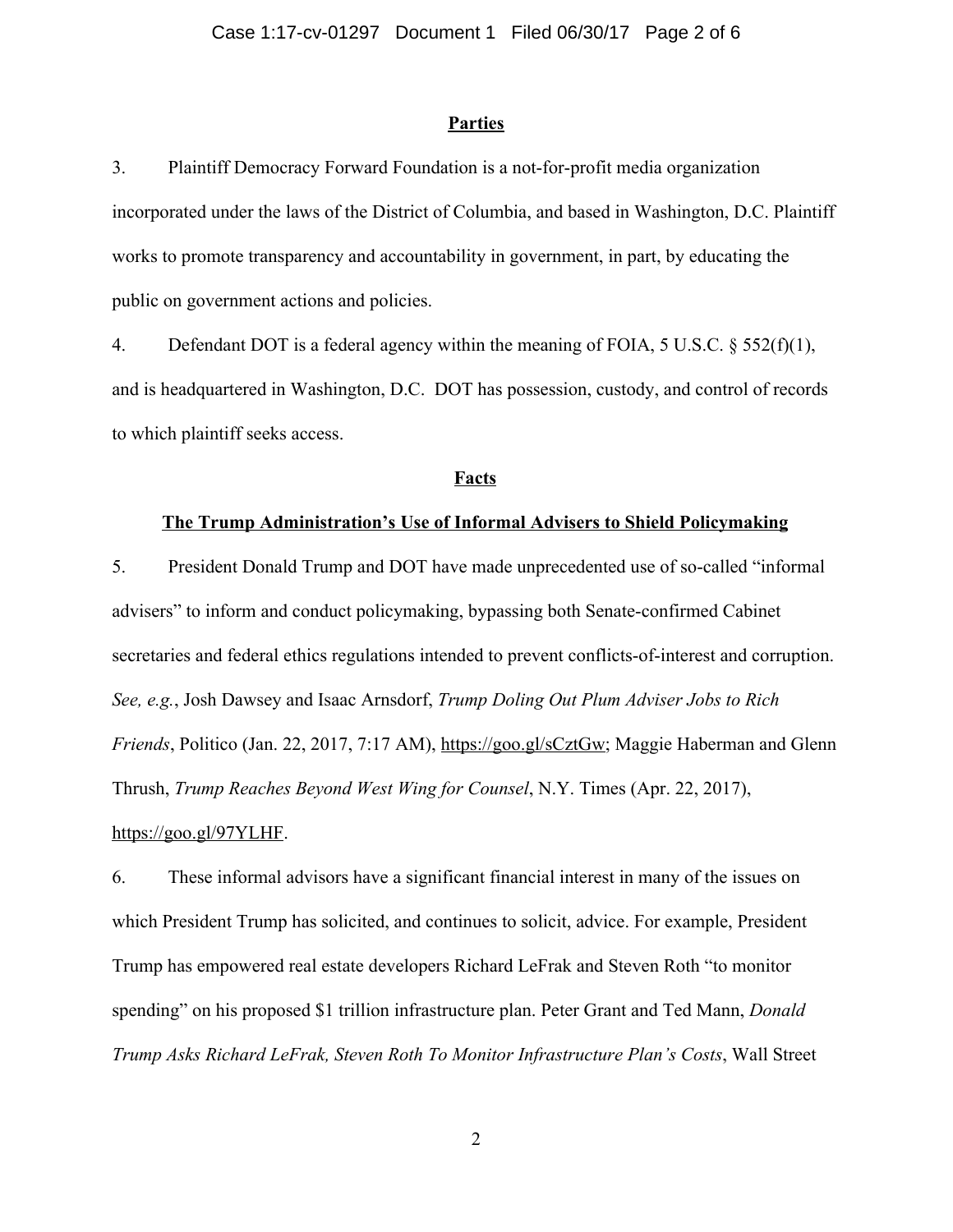#### **Parties**

3. Plaintiff Democracy Forward Foundation is a not-for-profit media organization incorporated under the laws of the District of Columbia, and based in Washington, D.C. Plaintiff works to promote transparency and accountability in government, in part, by educating the public on government actions and policies.

4. Defendant DOT is a federal agency within the meaning of FOIA, 5 U.S.C. § 552(f)(1), and is headquartered in Washington, D.C. DOT has possession, custody, and control of records to which plaintiff seeks access.

## **Facts**

#### **The Trump Administration's Use of Informal Advisers to Shield Policymaking**

5. President Donald Trump and DOT have made unprecedented use of so-called "informal advisers" to inform and conduct policymaking, bypassing both Senate-confirmed Cabinet secretaries and federal ethics regulations intended to prevent conflicts-of-interest and corruption. *See, e.g.*, Josh Dawsey and Isaac Arnsdorf, *Trump Doling Out Plum Adviser Jobs to Rich Friends*, Politico (Jan. 22, 2017, 7:17 AM), https://goo.gl/sCztGw; Maggie Haberman and Glenn Thrush, *Trump Reaches Beyond West Wing for Counsel*, N.Y. Times (Apr. 22, 2017), https://goo.gl/97YLHF.

6. These informal advisors have a significant financial interest in many of the issues on which President Trump has solicited, and continues to solicit, advice. For example, President Trump has empowered real estate developers Richard LeFrak and Steven Roth "to monitor spending" on his proposed \$1 trillion infrastructure plan. Peter Grant and Ted Mann, *Donald Trump Asks Richard LeFrak, Steven Roth To Monitor Infrastructure Plan's Costs*, Wall Street

2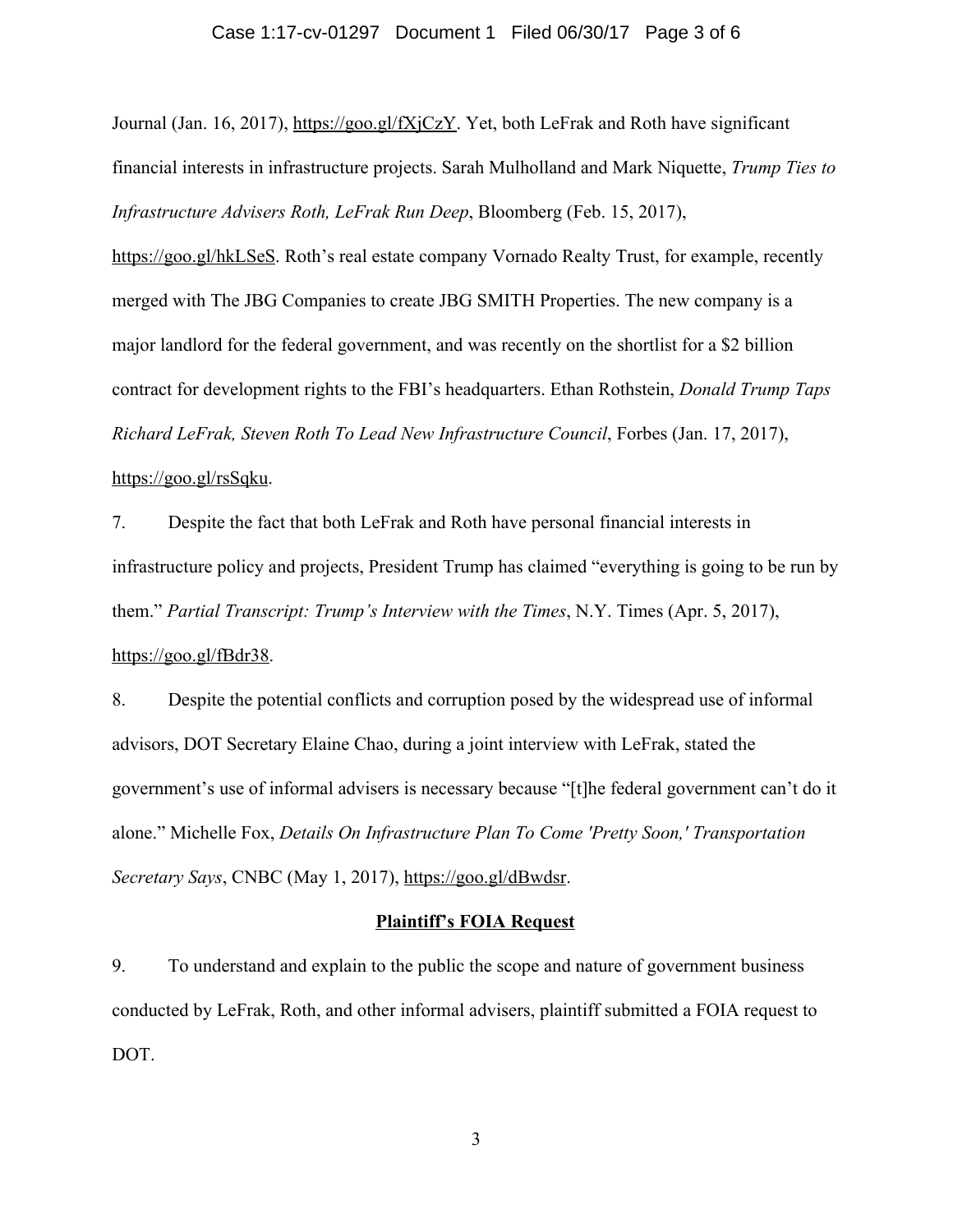#### Case 1:17-cv-01297 Document 1 Filed 06/30/17 Page 3 of 6

Journal (Jan. 16, 2017), https://goo.gl/fXjCzY. Yet, both LeFrak and Roth have significant financial interests in infrastructure projects. Sarah Mulholland and Mark Niquette, *Trump Ties to Infrastructure Advisers Roth, LeFrak Run Deep*, Bloomberg (Feb. 15, 2017),

https://goo.gl/hkLSeS. Roth's real estate company Vornado Realty Trust, for example, recently merged with The JBG Companies to create JBG SMITH Properties. The new company is a major landlord for the federal government, and was recently on the shortlist for a \$2 billion contract for development rights to the FBI's headquarters. Ethan Rothstein, *Donald Trump Taps Richard LeFrak, Steven Roth To Lead New Infrastructure Council*, Forbes (Jan. 17, 2017), https://goo.gl/rsSqku.

7. Despite the fact that both LeFrak and Roth have personal financial interests in infrastructure policy and projects, President Trump has claimed "everything is going to be run by them." *Partial Transcript: Trump's Interview with the Times*, N.Y. Times (Apr. 5, 2017), https://goo.gl/fBdr38.

8. Despite the potential conflicts and corruption posed by the widespread use of informal advisors, DOT Secretary Elaine Chao, during a joint interview with LeFrak, stated the government's use of informal advisers is necessary because "[t]he federal government can't do it alone." Michelle Fox, *Details On Infrastructure Plan To Come 'Pretty Soon,' Transportation Secretary Says*, CNBC (May 1, 2017), https://goo.gl/dBwdsr.

## **Plaintiff's FOIA Request**

9. To understand and explain to the public the scope and nature of government business conducted by LeFrak, Roth, and other informal advisers, plaintiff submitted a FOIA request to DOT.

3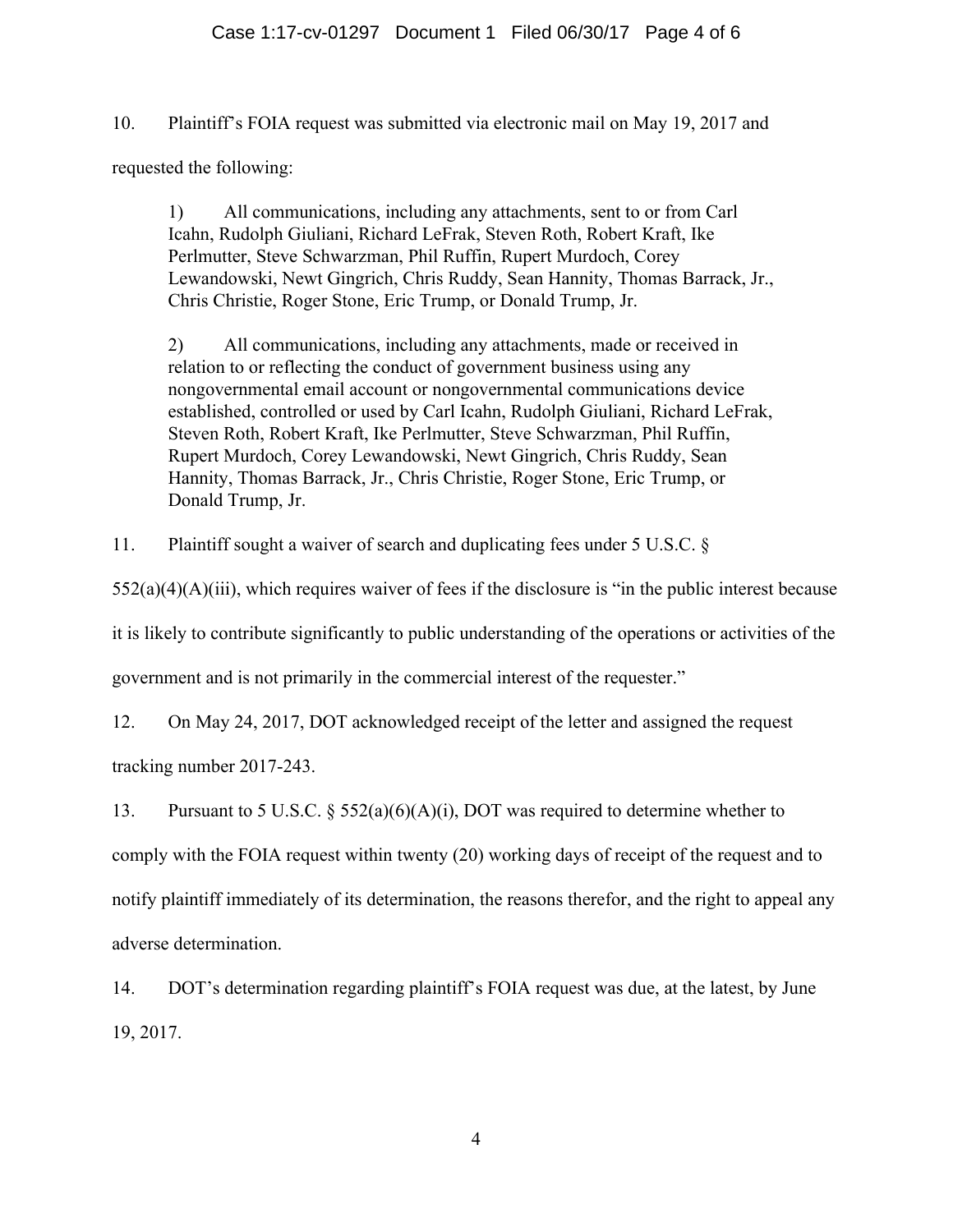# Case 1:17-cv-01297 Document 1 Filed 06/30/17 Page 4 of 6

10. Plaintiff's FOIA request was submitted via electronic mail on May 19, 2017 and requested the following:

1) All communications, including any attachments, sent to or from Carl Icahn, Rudolph Giuliani, Richard LeFrak, Steven Roth, Robert Kraft, Ike Perlmutter, Steve Schwarzman, Phil Ruffin, Rupert Murdoch, Corey Lewandowski, Newt Gingrich, Chris Ruddy, Sean Hannity, Thomas Barrack, Jr., Chris Christie, Roger Stone, Eric Trump, or Donald Trump, Jr.

2) All communications, including any attachments, made or received in relation to or reflecting the conduct of government business using any nongovernmental email account or nongovernmental communications device established, controlled or used by Carl Icahn, Rudolph Giuliani, Richard LeFrak, Steven Roth, Robert Kraft, Ike Perlmutter, Steve Schwarzman, Phil Ruffin, Rupert Murdoch, Corey Lewandowski, Newt Gingrich, Chris Ruddy, Sean Hannity, Thomas Barrack, Jr., Chris Christie, Roger Stone, Eric Trump, or Donald Trump, Jr.

11. Plaintiff sought a waiver of search and duplicating fees under 5 U.S.C. §

 $552(a)(4)(A)(iii)$ , which requires waiver of fees if the disclosure is "in the public interest because

it is likely to contribute significantly to public understanding of the operations or activities of the

government and is not primarily in the commercial interest of the requester."

12. On May 24, 2017, DOT acknowledged receipt of the letter and assigned the request

tracking number 2017-243.

13. Pursuant to 5 U.S.C. § 552(a)(6)(A)(i), DOT was required to determine whether to

comply with the FOIA request within twenty (20) working days of receipt of the request and to

notify plaintiff immediately of its determination, the reasons therefor, and the right to appeal any adverse determination.

14. DOT's determination regarding plaintiff's FOIA request was due, at the latest, by June 19, 2017.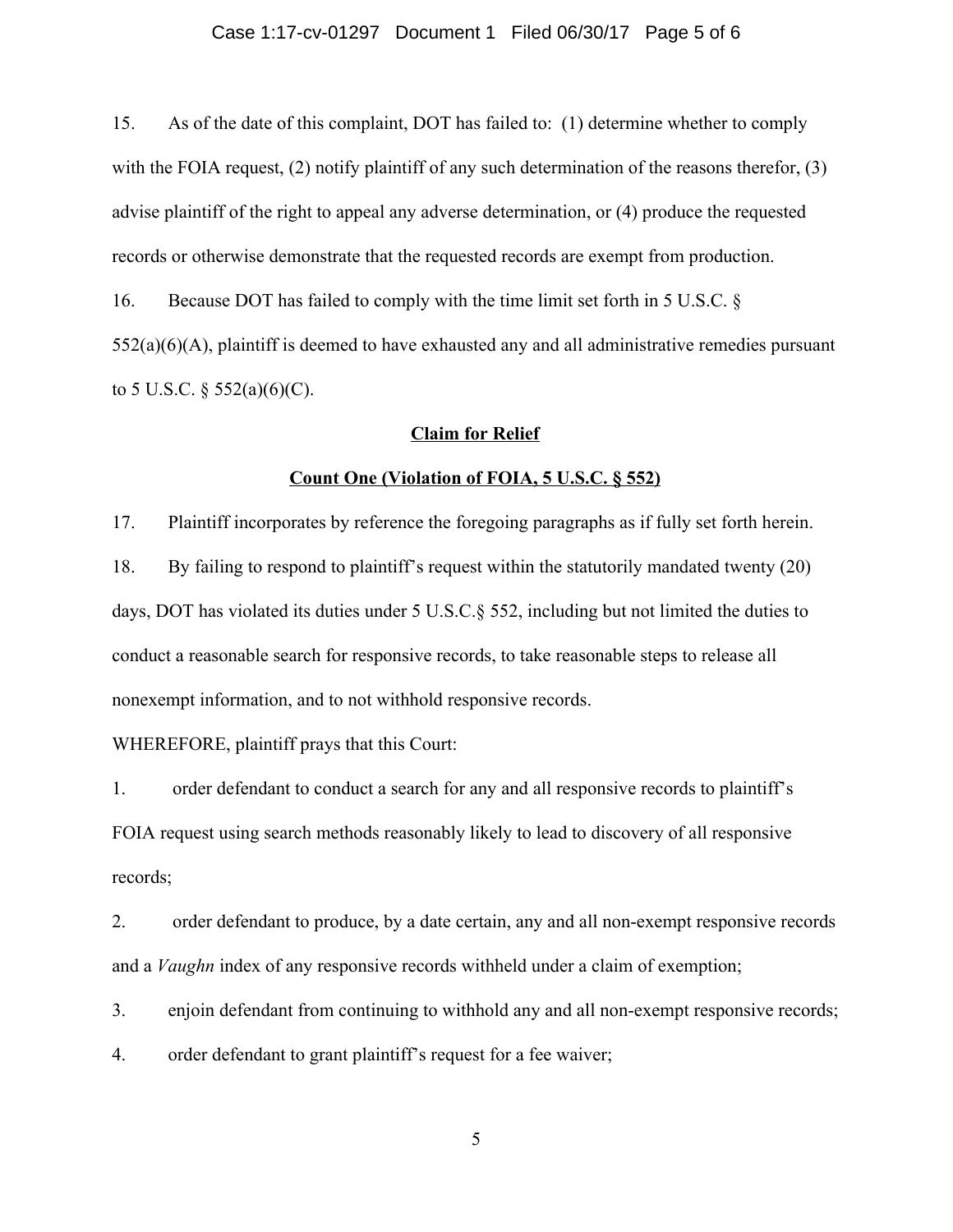#### Case 1:17-cv-01297 Document 1 Filed 06/30/17 Page 5 of 6

15. As of the date of this complaint, DOT has failed to: (1) determine whether to comply with the FOIA request, (2) notify plaintiff of any such determination of the reasons therefor, (3) advise plaintiff of the right to appeal any adverse determination, or (4) produce the requested records or otherwise demonstrate that the requested records are exempt from production.

16. Because DOT has failed to comply with the time limit set forth in 5 U.S.C. §  $552(a)(6)(A)$ , plaintiff is deemed to have exhausted any and all administrative remedies pursuant to 5 U.S.C.  $\S$  552(a)(6)(C).

### **Claim for Relief**

### **Count One (Violation of FOIA, 5 U.S.C. § 552)**

17. Plaintiff incorporates by reference the foregoing paragraphs as if fully set forth herein. 18. By failing to respond to plaintiff's request within the statutorily mandated twenty (20) days, DOT has violated its duties under 5 U.S.C.§ 552, including but not limited the duties to conduct a reasonable search for responsive records, to take reasonable steps to release all nonexempt information, and to not withhold responsive records.

WHEREFORE, plaintiff prays that this Court:

1. order defendant to conduct a search for any and all responsive records to plaintiff's FOIA request using search methods reasonably likely to lead to discovery of all responsive records;

2. order defendant to produce, by a date certain, any and all non-exempt responsive records and a *Vaughn* index of any responsive records withheld under a claim of exemption;

3. enjoin defendant from continuing to withhold any and all non-exempt responsive records;

4. order defendant to grant plaintiff's request for a fee waiver;

5